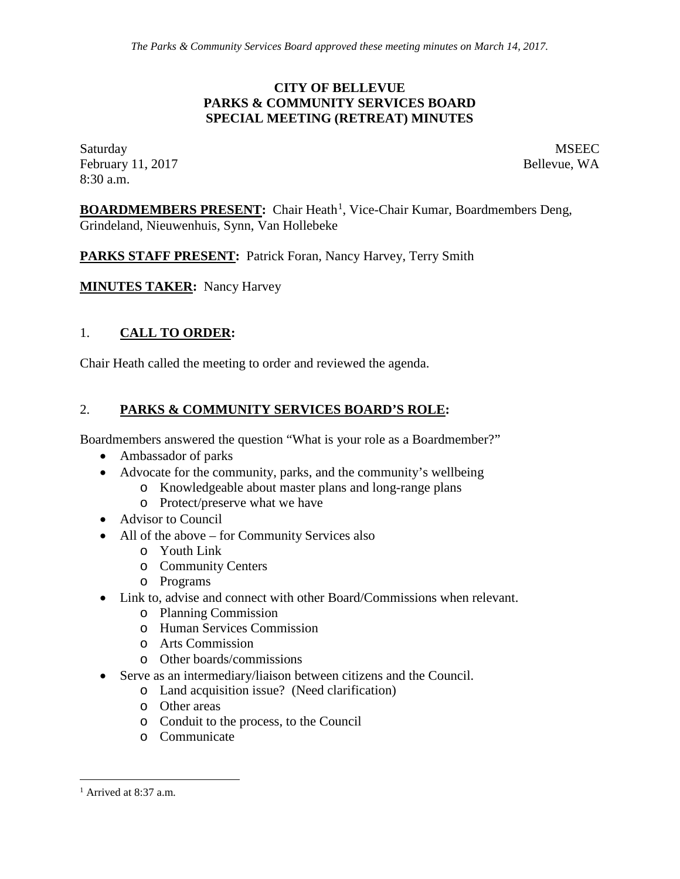#### **CITY OF BELLEVUE PARKS & COMMUNITY SERVICES BOARD SPECIAL MEETING (RETREAT) MINUTES**

Saturday MSEEC February 11, 2017 **Bellevue**, WA 8:30 a.m.

**BOARDMEMBERS PRESENT:** Chair Heath<sup>[1](#page-0-0)</sup>, Vice-Chair Kumar, Boardmembers Deng, Grindeland, Nieuwenhuis, Synn, Van Hollebeke

PARKS STAFF PRESENT: Patrick Foran, Nancy Harvey, Terry Smith

**MINUTES TAKER:** Nancy Harvey

# 1. **CALL TO ORDER:**

Chair Heath called the meeting to order and reviewed the agenda.

## 2. **PARKS & COMMUNITY SERVICES BOARD'S ROLE:**

Boardmembers answered the question "What is your role as a Boardmember?"

- Ambassador of parks
- Advocate for the community, parks, and the community's wellbeing
	- o Knowledgeable about master plans and long-range plans
		- o Protect/preserve what we have
- Advisor to Council
- All of the above for Community Services also
	- o Youth Link
	- o Community Centers
	- o Programs
- Link to, advise and connect with other Board/Commissions when relevant.
	- o Planning Commission
	- o Human Services Commission
	- o Arts Commission
	- o Other boards/commissions
- Serve as an intermediary/liaison between citizens and the Council.
	- o Land acquisition issue? (Need clarification)
	- o Other areas
	- o Conduit to the process, to the Council
	- o Communicate

<span id="page-0-0"></span> $<sup>1</sup>$  Arrived at 8:37 a.m.</sup>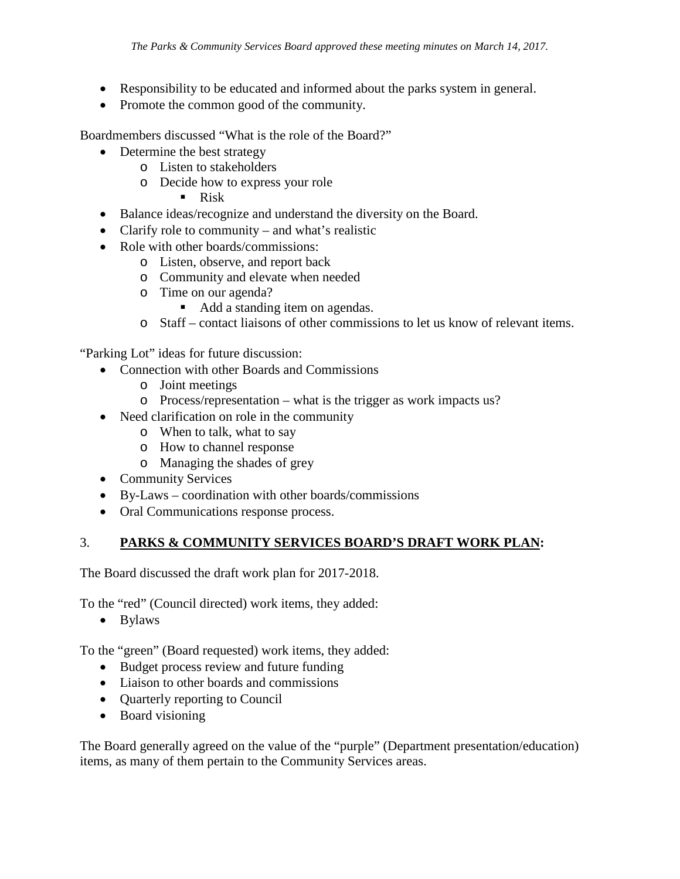- Responsibility to be educated and informed about the parks system in general.
- Promote the common good of the community.

Boardmembers discussed "What is the role of the Board?"

- Determine the best strategy
	- o Listen to stakeholders
	- o Decide how to express your role
		- Risk
- Balance ideas/recognize and understand the diversity on the Board.
- Clarify role to community and what's realistic
- Role with other boards/commissions:
	- o Listen, observe, and report back
	- o Community and elevate when needed
	- o Time on our agenda?
		- Add a standing item on agendas.
	- o Staff contact liaisons of other commissions to let us know of relevant items.

"Parking Lot" ideas for future discussion:

- Connection with other Boards and Commissions
	- o Joint meetings
	- o Process/representation what is the trigger as work impacts us?
- Need clarification on role in the community
	- o When to talk, what to say
	- o How to channel response
	- o Managing the shades of grey
- Community Services
- By-Laws coordination with other boards/commissions
- Oral Communications response process.

#### 3. **PARKS & COMMUNITY SERVICES BOARD'S DRAFT WORK PLAN:**

The Board discussed the draft work plan for 2017-2018.

To the "red" (Council directed) work items, they added:

• Bylaws

To the "green" (Board requested) work items, they added:

- Budget process review and future funding
- Liaison to other boards and commissions
- Quarterly reporting to Council
- Board visioning

The Board generally agreed on the value of the "purple" (Department presentation/education) items, as many of them pertain to the Community Services areas.